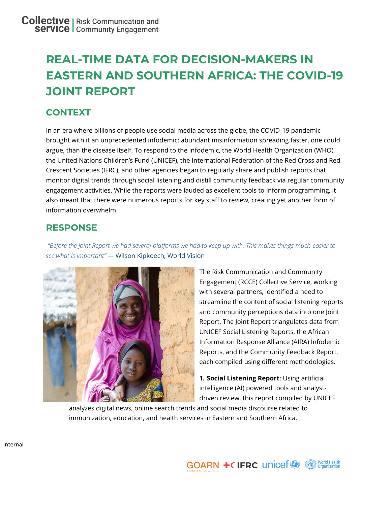# **REAL-TIME DATA FOR DECISION-MAKERS IN EASTERN AND SOUTHERN AFRICA: THE COVID-19 JOINT REPORT**

# **CONTEXT**

In an era where billions of people use social media across the globe, the COVID-19 pandemic brought with it an unprecedented infodemic: abundant misinformation spreading faster, one could argue, than the disease itself. To respond to the infodemic, the World Health Organization (WHO), the United Nations Children's Fund (UNICEF), the International Federation of the Red Cross and Red Crescent Societies (IFRC), and other agencies began to regularly share and publish reports that monitor digital trends through social listening and distill community feedback via regular community engagement activities. While the reports were lauded as excellent tools to inform programming, it also meant that there were numerous reports for key staff to review, creating yet another form of information overwhelm.

## **RESPONSE**

*"Before the Joint Report we had several platforms we had to keep up with. This makes things much easier to see what is important" —* Wilson Kipkoech, World Vision



The Risk Communication and Community Engagement (RCCE) Collective Service, working with several partners, identified a need to streamline the content of social listening reports and community perceptions data into one Joint Report. The Joint Report triangulates data from UNICEF Social Listening Reports, the African Information Response Alliance (AIRA) Infodemic Reports, and the Community Feedback Report, each compiled using different methodologies.

**1. Social Listening Report**: Using artificial intelligence (AI) powered tools and analystdriven review, this report compiled by UNICEF

analyzes digital news, online search trends and social media discourse related to immunization, education, and health services in Eastern and Southern Africa.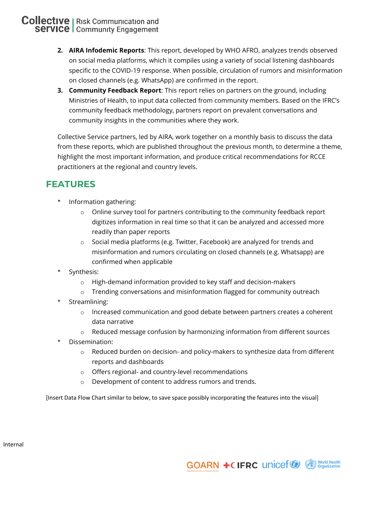- **2. AIRA Infodemic Reports**: This report, developed by WHO AFRO, analyzes trends observed on social media platforms, which it compiles using a variety of social listening dashboards specific to the COVID-19 response. When possible, circulation of rumors and misinformation on closed channels (e.g. WhatsApp) are confirmed in the report.
- **3. Community Feedback Report**: This report relies on partners on the ground, including Ministries of Health, to input data collected from community members. Based on the IFRC's community feedback methodology, partners report on prevalent conversations and community insights in the communities where they work.

Collective Service partners, led by AIRA, work together on a monthly basis to discuss the data from these reports, which are published throughout the previous month, to determine a theme, highlight the most important information, and produce critical recommendations for RCCE practitioners at the regional and country levels.

#### **FEATURES**

- \* Information gathering:
	- $\circ$  Online survey tool for partners contributing to the community feedback report digitizes information in real time so that it can be analyzed and accessed more readily than paper reports
	- o Social media platforms (e.g. Twitter, Facebook) are analyzed for trends and misinformation and rumors circulating on closed channels (e.g. Whatsapp) are confirmed when applicable
- Synthesis:
	- o High-demand information provided to key staff and decision-makers
	- o Trending conversations and misinformation flagged for community outreach
- Streamlining:
	- o Increased communication and good debate between partners creates a coherent data narrative
	- o Reduced message confusion by harmonizing information from different sources
- Dissemination:
	- $\circ$  Reduced burden on decision- and policy-makers to synthesize data from different reports and dashboards
	- o Offers regional- and country-level recommendations
	- o Development of content to address rumors and trends.

[Insert Data Flow Chart similar to below, to save space possibly incorporating the features into the visual]

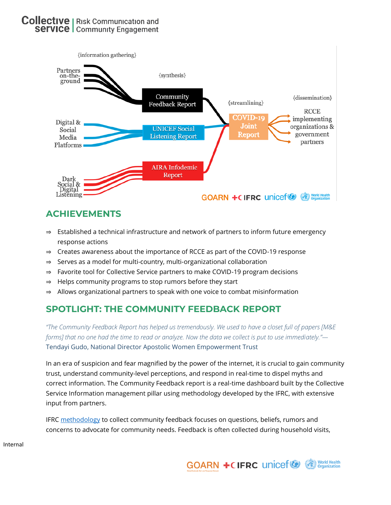

## **ACHIEVEMENTS**

- ⇒ Established a technical infrastructure and network of partners to inform future emergency response actions
- ⇒ Creates awareness about the importance of RCCE as part of the COVID-19 response
- ⇒ Serves as a model for multi-country, multi-organizational collaboration
- ⇒ Favorite tool for Collective Service partners to make COVID-19 program decisions
- ⇒ Helps community programs to stop rumors before they start
- ⇒ Allows organizational partners to speak with one voice to combat misinformation

## **SPOTLIGHT: THE COMMUNITY FEEDBACK REPORT**

*"The Community Feedback Report has helped us tremendously. We used to have a closet full of papers [M&E forms] that no one had the time to read or analyze. Now the data we collect is put to use immediately."—* Tendayi Gudo, National Director Apostolic Women Empowerment Trust

In an era of suspicion and fear magnified by the power of the internet, it is crucial to gain community trust, understand community-level perceptions, and respond in real-time to dispel myths and correct information. The Community Feedback report is a real-time dashboard built by the Collective Service Information management pillar using methodology developed by the IFRC, with extensive input from partners.

IFRC [methodology](https://www.liebertpub.com/doi/full/10.1089/hs.2020.0195) to collect community feedback focuses on questions, beliefs, rumors and concerns to advocate for community needs. Feedback is often collected during household visits,

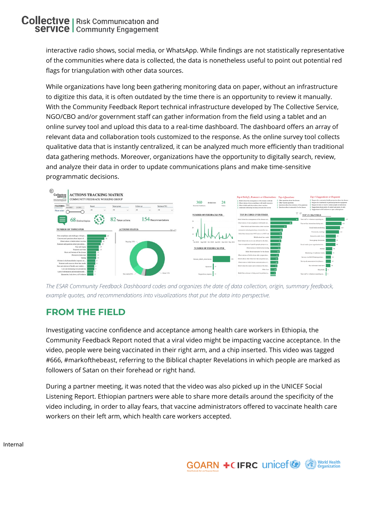interactive radio shows, social media, or WhatsApp. While findings are not statistically representative of the communities where data is collected, the data is nonetheless useful to point out potential red flags for triangulation with other data sources.

While organizations have long been gathering monitoring data on paper, without an infrastructure to digitize this data, it is often outdated by the time there is an opportunity to review it manually. With the Community Feedback Report technical infrastructure developed by The Collective Service, NGO/CBO and/or government staff can gather information from the field using a tablet and an online survey tool and upload this data to a real-time dashboard. The dashboard offers an array of relevant data and collaboration tools customized to the response. As the online survey tool collects qualitative data that is instantly centralized, it can be analyzed much more efficiently than traditional data gathering methods. Moreover, organizations have the opportunity to digitally search, review, and analyze their data in order to update communications plans and make time-sensitive programmatic decisions.





## **FROM THE FIELD**

Investigating vaccine confidence and acceptance among health care workers in Ethiopia, the Community Feedback Report noted that a viral video might be impacting vaccine acceptance. In the video, people were being vaccinated in their right arm, and a chip inserted. This video was tagged #666, #markofthebeast, referring to the Biblical chapter Revelations in which people are marked as followers of Satan on their forehead or right hand.

During a partner meeting, it was noted that the video was also picked up in the UNICEF Social Listening Report. Ethiopian partners were able to share more details around the specificity of the video including, in order to allay fears, that vaccine administrators offered to vaccinate health care workers on their left arm, which health care workers accepted.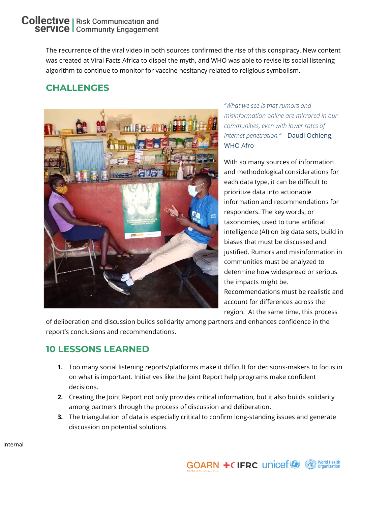The recurrence of the viral video in both sources confirmed the rise of this conspiracy. New content was created at Viral Facts Africa to dispel the myth, and WHO was able to revise its social listening algorithm to continue to monitor for vaccine hesitancy related to religious symbolism.

## **CHALLENGES**



*"What we see is that rumors and misinformation online are mirrored in our communities, even with lower rates of internet penetration." –* Daudi Ochieng, WHO Afro

With so many sources of information and methodological considerations for each data type, it can be difficult to prioritize data into actionable information and recommendations for responders. The key words, or taxonomies, used to tune artificial intelligence (AI) on big data sets, build in biases that must be discussed and justified. Rumors and misinformation in communities must be analyzed to determine how widespread or serious the impacts might be. Recommendations must be realistic and account for differences across the region. At the same time, this process

of deliberation and discussion builds solidarity among partners and enhances confidence in the report's conclusions and recommendations.

## **10 LESSONS LEARNED**

- **1.** Too many social listening reports/platforms make it difficult for decisions-makers to focus in on what is important. Initiatives like the Joint Report help programs make confident decisions.
- **2.** Creating the Joint Report not only provides critical information, but it also builds solidarity among partners through the process of discussion and deliberation.
- **3.** The triangulation of data is especially critical to confirm long-standing issues and generate discussion on potential solutions.